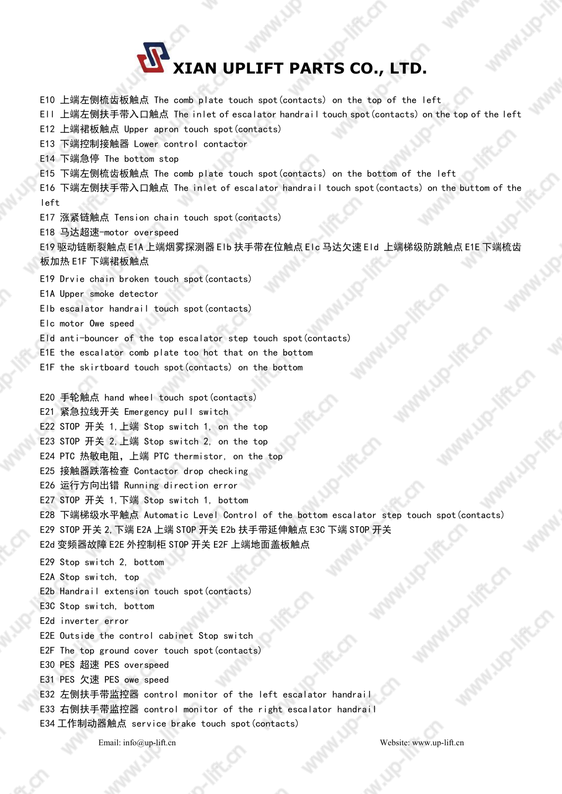

E10 上端左侧梳齿板触点 The comb plate touch spot(contacts) on the top of the left Ell 上端左侧扶手带入口触点 The inlet of escalator handrail touch spot(contacts) on the top of the left E12 上端裙板触点 Upper apron touch spot(contacts) E13 下端控制接触器 Lower control contactor E14 下端急停 The bottom stop E15 下端左侧梳齿板触点 The comb plate touch spot(contacts) on the bottom of the left E16 下端左侧扶手带入口触点 The inlet of escalator handrail touch spot(contacts) on the buttom of the left E17 涨紧链触点 Tension chain touch spot(contacts) E18 马达超速-motor overspeed E19 驱动链断裂触点 E1A 上端烟雾探测器 Elb 扶手带在位触点 Elc 马达欠速 Eld 上端梯级防跳触点 E1E 下端梳齿 板加热 E1F 下端裙板触点 E19 Drvie chain broken touch spot(contacts) E1A Upper smoke detector Elb escalator handrail touch spot(contacts) Elc motor Owe speed Eld anti-bouncer of the top escalator step touch spot(contacts) E1E the escalator comb plate too hot that on the bottom E1F the skirtboard touch spot(contacts) on the bottom E20 手轮触点 hand wheel touch spot(contacts) E21 紧急拉线开关 Emergency pull switch E22 STOP 开关 1,上端 Stop switch 1, on the top E23 STOP 开关 2,上端 Stop switch 2, on the top E24 PTC 热敏电阻,上端 PTC thermistor, on the top E25 接触器跌落检查 Contactor drop checking E26 运行方向出错 Running direction error E27 STOP 开关 1,下端 Stop switch 1, bottom E28 下端梯级水平触点 Automatic Level Control of the bottom escalator step touch spot(contacts) E29 STOP 开关 2,下端 E2A 上端 STOP开关 E2b 扶手带延伸触点 E3C 下端 STOP 开关 E2d 变频器故障 E2E 外控制柜 STOP 开关 E2F 上端地面盖板触点 E29 Stop switch 2, bottom E2A Stop switch, top E2b Handrail extension touch spot(contacts) E3C Stop switch, bottom E2d inverter error E2E Outside the control cabinet Stop switch E2F The top ground cover touch spot(contacts) E30 PES 超速 PES overspeed E31 PES 欠速 PES owe speed E32 左侧扶手带监控器 control monitor of the left escalator handrail E33 右侧扶手带监控器 control monitor of the right escalator handrail E34 工作制动器触点 service brake touch spot(contacts) **EVALUATE CO., LTD.**<br>
IED **EXAMPLES CO., LTD.**<br>
IED EXAMPLES CO., LTD.<br>
IED EXAMPLES TO A consider and a solution tend of the light of the Unit of the Unit of the Unit of the Unit of the Unit of the Unit of the Unit of th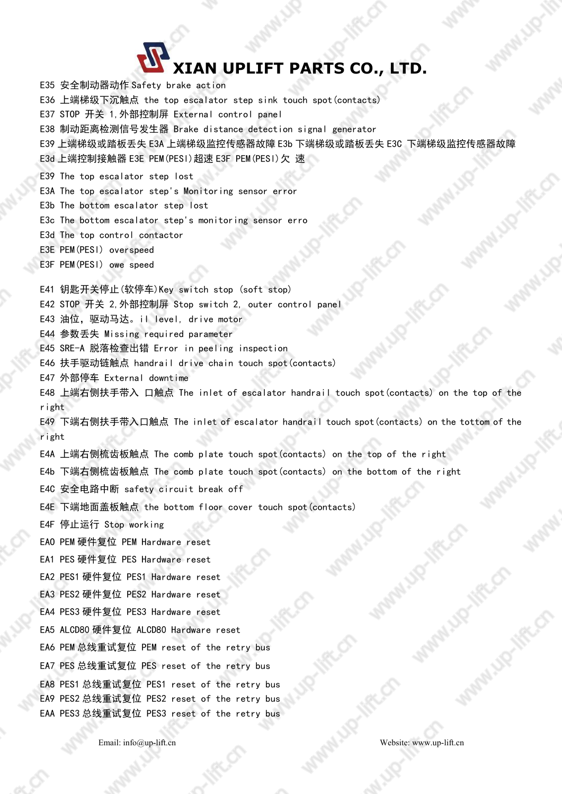## **XIAN UPLIFT PARTS CO., LTD.**

E35 安全制动器动作 Safety brake action E36 上端梯级下沉触点 the top escalator step sink touch spot(contacts) E37 STOP 开关 1,外部控制屏 External control panel E38 制动距离检测信号发生器 Brake distance detection signal generator E39 上端梯级或踏板丢失 E3A 上端梯级监控传感器故障 E3b 下端梯级或踏板丢失 E3C 下端梯级监控传感器故障 E3d 上端控制接触器 E3E PEM(PESl)超速 E3F PEM(PESl)欠 速 E39 The top escalator step lost E3A The top escalator step's Monitoring sensor error E3b The bottom escalator step lost E3c The bottom escalator step's monitoring sensor erro E3d The top control contactor E3E PEM(PESl) overspeed E3F PEM(PESl) owe speed E41 钥匙开关停止(软停车)Key switch stop (soft stop) E42 STOP 开关 2,外部控制屏 Stop switch 2, outer control panel E43 油位, 驱动马达。il level, drive motor E44 参数丢失 Missing required parameter E45 SRE-A 脱落检查出错 Error in peeling inspection E46 扶手驱动链触点 handrail drive chain touch spot(contacts) E47 外部停车 External downtime E48 上端右侧扶手带入 口触点 The inlet of escalator handrail touch spot(contacts) on the top of the right E49 下端右侧扶手带入口触点 The inlet of escalator handrail touch spot(contacts) on the tottom of the right E4A 上端右侧梳齿板触点 The comb plate touch spot(contacts) on the top of the right E4b 下端右侧梳齿板触点 The comb plate touch spot(contacts) on the bottom of the right E4C 安全电路中断 safety circuit break off E4E 下端地面盖板触点 the bottom floor cover touch spot(contacts) E4F 停止运行 Stop working EAO PEM 硬件复位 PEM Hardware reset EA1 PES 硬件复位 PES Hardware reset EA2 PES1 硬件复位 PES1 Hardware reset EA3 PES2 硬件复位 PES2 Hardware reset EA4 PES3 硬件复位 PES3 Hardware reset EA5 ALCD80 硬件复位 ALCD80 Hardware reset EA6 PEM 总线重试复位 PEM reset of the retry bus EA7 PES 总线重试复位 PES reset of the retry bus EA8 PES1 总线重试复位 PES1 reset of the retry bus EA9 PES2 总线重试复位 PES2 reset of the retry bus EAA PES3 总线重试复位 PES3 reset of the retry bus **CONTRACT CONTRACT CONTRACT CONTRACT CONTRACT CONTRACT CONTRACT CONTRACT CONTRACT CONTRACT CONTRACT CONTRACT CONTRACT CONTRACT CONTRACT CONTRACT CONTRACT CONTRACT CONTRACT CONTRACT CONTRACT CONTRACT CONTRACT CONTRACT CONT**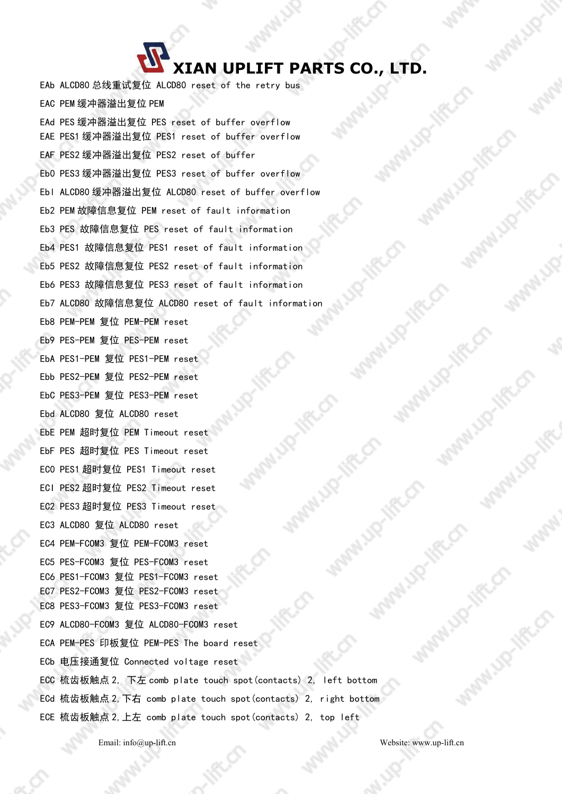## **XIAN UPLIFT PARTS CO., LTD.**

EAb ALCD80 总线重试复位 ALCD80 reset of the retry bus EAC PEM 缓冲器溢出复位 PEM EAd PES 缓冲器溢出复位 PES reset of buffer overflow EAE PES1 缓冲器溢出复位 PES1 reset of buffer overflow EAF PES2 缓冲器溢出复位 PES2 reset of buffer Eb0 PES3 缓冲器溢出复位 PES3 reset of buffer overflow Ebl ALCD80 缓冲器溢出复位 ALCD80 reset of buffer overflow Eb2 PEM 故障信息复位 PEM reset of fault information Eb3 PES 故障信息复位 PES reset of fault information Eb4 PES1 故障信息复位 PES1 reset of fault information Eb5 PES2 故障信息复位 PES2 reset of fault information Eb6 PES3 故障信息复位 PES3 reset of fault information Eb7 ALCD80 故障信息复位 ALCD80 reset of fault information Eb8 PEM-PEM 复位 PEM-PEM reset Eb9 PES-PEM 复位 PES-PEM reset EbA PES1-PEM 复位 PES1-PEM reset Ebb PES2-PEM 复位 PES2-PEM reset EbC PES3-PEM 复位 PES3-PEM reset Ebd ALCD80 复位 ALCD80 reset EbE PEM 超时复位 PEM Timeout reset EbF PES 超时复位 PES Timeout reset EC0 PES1 超时复位 PES1 Timeout reset ECI PES2 超时复位 PES2 Timeout reset EC2 PES3 超时复位 PES3 Timeout reset EC3 ALCD80 复位 ALCD80 reset EC4 PEM-FCOM3 复位 PEM-FCOM3 reset EC5 PES-FCOM3 复位 PES-FCOM3 reset EC6 PES1-FCOM3 复位 PES1-FCOM3 reset EC7 PES2-FCOM3 复位 PES2-FCOM3 reset EC8 PES3-FCOM3 复位 PES3-FCOM3 reset EC9 ALCD80-FCOM3 复位 ALCD80-FCOM3 reset ECA PEM-PES 印板复位 PEM-PES The board reset ECb 电压接通复位 Connected voltage reset ECC 梳齿板触点 2, 下左 comb plate touch spot(contacts) 2, left bottom ECd 梳齿板触点 2,下右 comb plate touch spot(contacts) 2, right bottom ECE 梳齿板触点 2,上左 comb plate touch spot(contacts) 2, top left **EXAMPLE CONTRACTS CO., LTD.**<br>
LG ALGO AND CONTRACTS AREA UPLIFT PARTS CO., LTD.<br>
LG ALGO AND CONTRACTS AREA THE CONTRACTS AREA IS the result of the first particular particular and the results of the results of the result